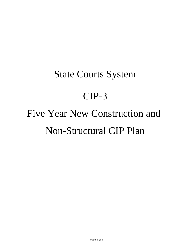## State Courts System CIP-3 Five Year New Construction and Non-Structural CIP Plan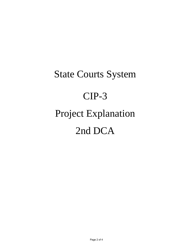## State Courts System CIP-3 Project Explanation 2nd DCA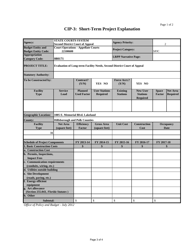## **CIP-3: Short-Term Project Explanation**

| Agency:                                                   | <b>STATE COURTS SYSTEM</b><br><b>Second District Court of Appeal</b> |                                      |                                                                                | <b>Agency Priority:</b>            |                                                       | 2                             |                                    |  |
|-----------------------------------------------------------|----------------------------------------------------------------------|--------------------------------------|--------------------------------------------------------------------------------|------------------------------------|-------------------------------------------------------|-------------------------------|------------------------------------|--|
| <b>Budget Entity and</b><br><b>Budget Entity Code:</b>    | <b>Court Operations - Appellate Courts</b><br>22100600               |                                      |                                                                                | <b>Project Category:</b>           |                                                       | <b>SPJC</b>                   |                                    |  |
| <b>Appropriation</b><br><b>Category Code:</b>             | 080171                                                               |                                      |                                                                                | <b>LRPP Narrative Page:</b>        |                                                       |                               |                                    |  |
| <b>PROJECT TITLE:</b>                                     |                                                                      |                                      | <b>Evaluation of Long-term Facility Needs, Second District Court of Appeal</b> |                                    |                                                       |                               |                                    |  |
| <b>Statutory Authority:</b>                               |                                                                      |                                      |                                                                                |                                    |                                                       |                               |                                    |  |
| To be Constructed by:                                     |                                                                      | <b>Contract?</b><br>(Y/N)            | YES NO                                                                         | <b>Force Acct.?</b><br>(Y/N)       | YES NO                                                |                               |                                    |  |
| <b>Facility</b><br><b>Type</b>                            | <b>Service</b><br>Load                                               | <b>Planned</b><br><b>Used Factor</b> | <b>User Stations</b><br><b>Required</b>                                        | <b>Existing</b><br><b>Stations</b> | <b>New User</b><br><b>Stations</b><br><b>Required</b> | <b>Space</b><br><b>Factor</b> | <b>Net Area</b><br><b>Required</b> |  |
|                                                           |                                                                      |                                      |                                                                                |                                    |                                                       |                               |                                    |  |
| <b>Geographic Location:</b>                               | 1005 E. Memorial Blvd. Lakeland                                      |                                      |                                                                                |                                    |                                                       |                               |                                    |  |
| <b>County:</b>                                            | <b>Hillsborough and Polk Counties</b>                                |                                      |                                                                                |                                    |                                                       |                               |                                    |  |
| Facility<br><b>Type</b>                                   | <b>Net Area</b><br>(square feet)                                     | <b>Efficiency</b><br><b>Factor</b>   | <b>Gross Area</b><br>(square feet)                                             | <b>Unit Cost</b>                   | <b>Construction</b><br>Cost                           | <b>Occupancy</b><br>Date      |                                    |  |
| 31                                                        |                                                                      |                                      |                                                                                |                                    |                                                       |                               |                                    |  |
| <b>Schedule of Project Components</b>                     |                                                                      | FY 2013-14                           | FY 2014-15                                                                     | FY 2015-16                         | FY 2016-17                                            | FY 2017-18                    |                                    |  |
| <b>1. Basic Construction Costs</b>                        |                                                                      | \$                                   | \$                                                                             | \$                                 | \$                                                    | \$                            |                                    |  |
| a. Construction Cost                                      |                                                                      |                                      |                                                                                |                                    |                                                       |                               |                                    |  |
| b. Permits, Inspections,<br><b>Impact Fees</b>            |                                                                      |                                      |                                                                                |                                    |                                                       |                               |                                    |  |
| c. Communication requirements<br>(conduits, wiring, etc.) |                                                                      |                                      |                                                                                |                                    |                                                       |                               |                                    |  |
| d. Utilities outside building                             |                                                                      |                                      |                                                                                |                                    |                                                       |                               |                                    |  |
| e. Site Development                                       |                                                                      |                                      |                                                                                |                                    |                                                       |                               |                                    |  |
| (roads, paving, etc.)                                     |                                                                      |                                      |                                                                                |                                    |                                                       |                               |                                    |  |
| f. Energy efficient<br>equipment                          |                                                                      |                                      |                                                                                |                                    |                                                       |                               |                                    |  |
| g. Art allowance<br>(Section 255.043, Florida Statutes)   |                                                                      |                                      |                                                                                |                                    |                                                       |                               |                                    |  |
| h. Other                                                  |                                                                      |                                      |                                                                                |                                    |                                                       |                               |                                    |  |
| Subtotal:                                                 |                                                                      | \$                                   | \$                                                                             | \$                                 | \$                                                    | $\mathcal{S}$                 |                                    |  |

*Office of Policy and Budget - July 2012*